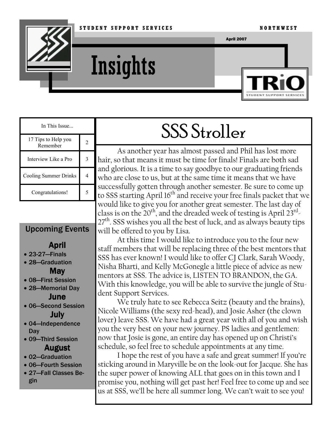

# **Insights**



| In This Issue                   |  |
|---------------------------------|--|
| 17 Tips to Help you<br>Remember |  |
| Interview Like a Pro            |  |
| Cooling Summer Drinks           |  |
| Congratulations!                |  |

#### Upcoming Events

### April

- 23-27—Finals
- 28—Graduation May
- 08—First Session
- 28—Memorial Day June
- 06—Second Session July
- 04—Independence **Day**

#### • 09—Third Session August

- 02—Graduation
- 06—Fourth Session • 27—Fall Classes Begin

## SSS Stroller

As another year has almost passed and Phil has lost more hair, so that means it must be time for finals! Finals are both sad and glorious. It is a time to say goodbye to our graduating friends who are close to us, but at the same time it means that we have successfully gotten through another semester. Be sure to come up to SSS starting April 16<sup>th</sup> and receive your free finals packet that we would like to give you for another great semester. The last day of class is on the 20<sup>th</sup>, and the dreaded week of testing is April 23 $^{\rm rd}$ 27<sup>th</sup>. SSS wishes you all the best of luck, and as always beauty tips will be offered to you by Lisa.

At this time I would like to introduce you to the four new staff members that will be replacing three of the best mentors that SSS has ever known! I would like to offer CJ Clark, Sarah Woody, Nisha Bharti, and Kelly McGonegle a little piece of advice as new mentors at SSS. The advice is, LISTEN TO BRANDON, the GA. With this knowledge, you will be able to survive the jungle of Student Support Services.

We truly hate to see Rebecca Seitz (beauty and the brains), Nicole Williams (the sexy red-head), and Josie Asher (the clown lover) leave SSS. We have had a great year with all of you and wish you the very best on your new journey. PS ladies and gentlemen: now that Josie is gone, an entire day has opened up on Christi's schedule, so feel free to schedule appointments at any time.

I hope the rest of you have a safe and great summer! If you're sticking around in Maryville be on the look-out for Jacque. She has the super power of knowing ALL that goes on in this town and I promise you, nothing will get past her! Feel free to come up and see us at SSS, we'll be here all summer long. We can't wait to see you!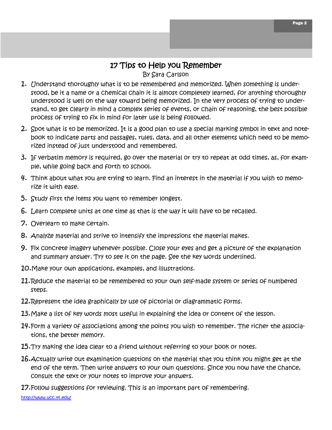#### 17 Tips to Help you Remember

By Sara Carlson

- 1. Understand thoroughly what is to be remembered and memorized. When something is understood, be it a name or a chemical chain it is almost completely learned, for anything thoroughly understood is well on the way toward being memorized. In the very process of trying to understand, to get clearly in mind a complex series of events, or chain of reasoning, the best possible process of trying to fix in mind for later use is being followed.
- 2. Spot what is to be memorized. It is a good plan to use a special marking symbol in text and notebook to indicate parts and passages, rules, data, and all other elements which need to be memorized instead of just understood and remembered.
- 3. If verbatim memory is required, go over the material or try to repeat at odd times, as, for example, while going back and forth to school.
- 4. Think about what you are trying to learn. Find an interest in the material if you wish to memorize it with ease.
- 5. Study first the items you want to remember longest.
- 6. Learn complete units at one time as that is the way it will have to be recalled.
- 7. Overlearn to make certain.
- 8. Analyze material and strive to intensify the impressions the material makes.
- 9. Fix concrete imagery whenever possible. Close your eyes and get a picture of the explanation and summary answer. Try to see it on the page. See the key words underlined.
- 10.Make your own applications, examples, and illustrations.
- 11. Reduce the material to be remembered to your own self-made system or series of numbered steps.
- 12. Represent the idea graphically by use of pictorial or diagrammatic forms.
- 13. Make a list of key words most useful in explaining the idea or content of the lesson.
- 14. Form a variety of associations among the points you wish to remember. The richer the associations, the better memory.
- $15.$  Try making the idea clear to a friend without referring to your book or notes.
- $16$ . Actually write out examination questions on the material that you think you might get at the end of the term. Then write answers to your own questions. Since you now have the chance, consult the text or your notes to improve your answers.
- 17.Follow suggestions for reviewing. This is an important part of remembering.

http://www.ucc.vt.edu/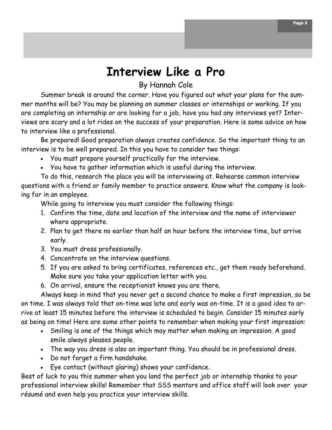## Interview Like a Pro

#### By Hannah Cole

Summer break is around the corner. Have you figured out what your plans for the summer months will be? You may be planning on summer classes or internships or working. If you are completing an internship or are looking for a job, have you had any interviews yet? Interviews are scary and a lot rides on the success of your preparation. Here is some advice on how to interview like a professional.

Be prepared! Good preparation always creates confidence. So the important thing to an interview is to be well prepared. In this you have to consider two things:

- You must prepare yourself practically for the interview.
- You have to gather information which is useful during the interview.

To do this, research the place you will be interviewing at. Rehearse common interview questions with a friend or family member to practice answers. Know what the company is looking for in an employee.

While going to interview you must consider the following things:

- 1. Confirm the time, date and location of the interview and the name of interviewer where appropriate.
- 2. Plan to get there no earlier than half an hour before the interview time, but arrive early.
- 3. You must dress professionally.
- 4. Concentrate on the interview questions.
- 5. If you are asked to bring certificates, references etc., get them ready beforehand. Make sure you take your application letter with you.
- 6. On arrival, ensure the receptionist knows you are there.

Always keep in mind that you never get a second chance to make a first impression, so be on time. I was always told that on-time was late and early was on-time. It is a good idea to arrive at least 15 minutes before the interview is scheduled to begin. Consider 15 minutes early as being on time! Here are some other points to remember when making your first impression:

- Smiling is one of the things which may matter when making an impression. A good smile always pleases people.
- The way you dress is also an important thing. You should be in professional dress.
- Do not forget a firm handshake.
- Eye contact (without glaring) shows your confidence.

Best of luck to you this summer when you land the perfect job or internship thanks to your professional interview skills! Remember that SSS mentors and office staff will look over your résumé and even help you practice your interview skills.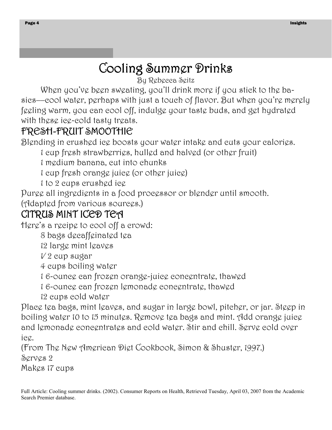## Cooling Summer Drinks

By Rebecca Seitz

When you've been sweating, you'll drink more if you stick to the basics––cool water, perhaps with just a touch of flavor. But when you're merely feeling warm, you can cool off, indulge your taste buds, and get hydrated with these ice-cold tasty treats.

## FRESH-FRUIT SMOOTHIE

Blending in crushed ice boosts your water intake and cuts your calories.

1 cup fresh strawberries, hulled and halved (or other fruit)

1 medium banana, cut into chunks

1 cup fresh orange juice (or other juice)

1 to 2 cups crushed ice

Puree all ingredients in a food processor or blender until smooth. (Adapted from various sources.)

## CITRUS MINT ICED TEA

Here's a recipe to cool off a crowd:

8 bags decaffeinated tea

12 large mint leaves

 $V2$  cup sugar

4 cups boiling water

1 6-ounce can frozen orange-juice concentrate, thawed

1 6-ounce can frozen lemonade concentrate, thawed

12 cups cold water

Place tea bags, mint leaves, and sugar in large bowl, pitcher, or jar. Steep in boiling water 10 to 15 minutes. Remove tea bags and mint. Add orange juice and lemonade concentrates and cold water. Stir and chill. Serve cold over ice.

(From The New American Diet Cookbook, Simon & Shuster, 1997.) Serves 2

Makes 17 cups